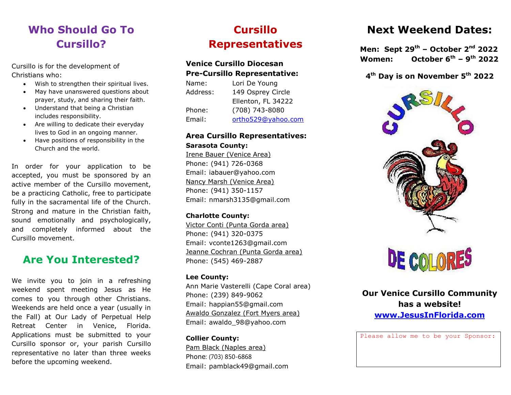# **Who Should Go To Cursillo?**

Cursillo is for the development of Christians who:

- Wish to strengthen their spiritual lives.
- May have unanswered questions about prayer, study, and sharing their faith.
- Understand that being a Christian includes responsibility.
- Are willing to dedicate their everyday lives to God in an ongoing manner.
- Have positions of responsibility in the Church and the world.

In order for your application to be accepted, you must be sponsored by an active member of the Cursillo movement, be a practicing Catholic, free to participate fully in the sacramental life of the Church. Strong and mature in the Christian faith, sound emotionally and psychologically, and completely informed about the Cursillo movement.

### **Are You Interested?**

We invite you to join in a refreshing weekend spent meeting Jesus as He comes to you through other Christians. Weekends are held once a year (usually in the Fall) at Our Lady of Perpetual Help Retreat Center in Venice, Florida. Applications must be submitted to your Cursillo sponsor or, your parish Cursillo representative no later than three weeks before the upcoming weekend.

# **Cursillo Representatives**

#### **Venice Cursillo Diocesan Pre-Cursillo Representative:**

| Lori De Young      |
|--------------------|
| 149 Osprey Circle  |
| Ellenton, FL 34222 |
| (708) 743-8080     |
| ortho529@yahoo.com |
|                    |

#### **Area Cursillo Representatives: Sarasota County:**

Irene Bauer (Venice Area) Phone: (941) 726-0368 Email: iabauer@yahoo.com Nancy Marsh (Venice Area) Phone: (941) 350-1157 Email: nmarsh3135@gmail.com

#### **Charlotte County:**

Victor Conti (Punta Gorda area) Phone: (941) 320-0375 Email: vconte1263@gmail.com Jeanne Cochran (Punta Gorda area) Phone: (545) 469-2887

#### **Lee County:**

Ann Marie Vasterelli (Cape Coral area) Phone: (239) 849-9062 Email: happian55@gmail.com Awaldo Gonzalez (Fort Myers area) Email: awaldo\_98@yahoo.com

**Collier County:** Pam Black (Naples area) Phone: (703) 850-6868 Email: pamblack49@gmail.com

### **Next Weekend Dates:**

**Men: Sept 29th – October 2 nd 2022 Women: October 6 th – 9 th 2022**

#### **4 th Day is on November 5 th 2022**





**Our Venice Cursillo Community has a website! [www.JesusInFlorida.com](http://www.jesusinflorida.com/)**

Please allow me to be your Sponsor: